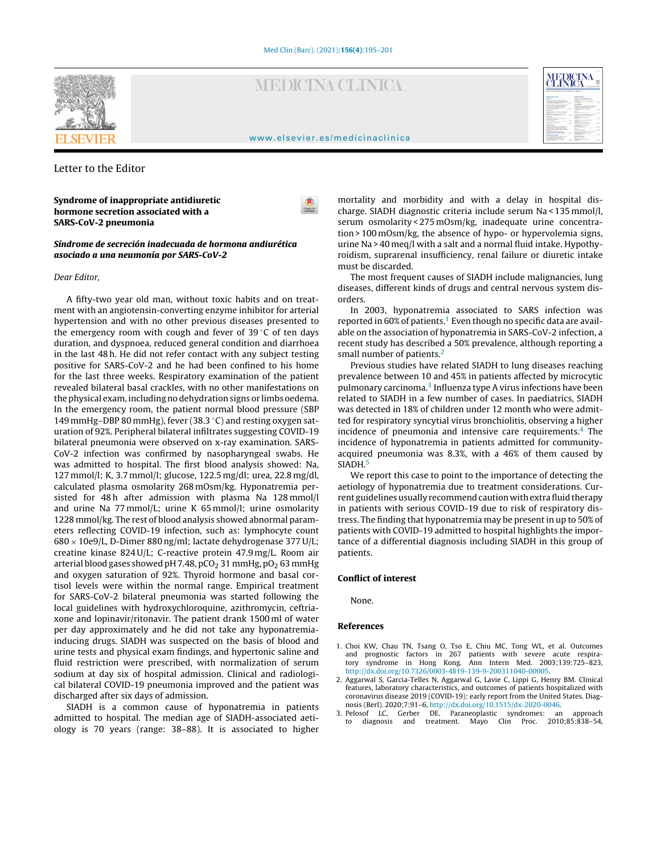

# **MEDICINA CLINICA**

| $-$<br>Mitade 6 de socientées de 2010, Volumes 110 : Hilmen 13 :                                                                                                                                                                                                                                                                                                                  |                                  |                                                                                                                                                                                                                             | <b>COLORADO</b>      |
|-----------------------------------------------------------------------------------------------------------------------------------------------------------------------------------------------------------------------------------------------------------------------------------------------------------------------------------------------------------------------------------|----------------------------------|-----------------------------------------------------------------------------------------------------------------------------------------------------------------------------------------------------------------------------|----------------------|
| <b>Mahina Make &amp; Arts</b>                                                                                                                                                                                                                                                                                                                                                     |                                  | Extends a distance                                                                                                                                                                                                          |                      |
| <b>ROUGHA</b><br>March of adults with work or warm to<br>contractions in at contract in colorate at below that<br>CONTROLL By STRAIGHTON                                                                                                                                                                                                                                          | <b>STATE</b>                     | <b>Reactive America</b> and Associate in Al-<br>connection of production.<br><b>CONTRACTOR</b><br>in both the state of the former is that declines<br><b>COLLEGE</b><br>---                                                 | <b>START</b>         |
| Determined a primary the contexts of the determined in<br>statement is accompanied and contact and support<br>departure aftern cause their distribution<br>PAINTOLLIGENALISMA                                                                                                                                                                                                     | <b>Service</b>                   | <b>Canadian</b><br>between the school and continuously from the course of<br>to All Local A. L. Primar for any advanced<br>books also a discussed a located<br>1 Mile Mile L. Bollen labor and John Mary<br><b>ACTIVITY</b> |                      |
| <b><i><u>Search Army</u></i></b><br>Survival assessment and animal internal in factors<br><b>COLL</b>                                                                                                                                                                                                                                                                             |                                  | <b>Brandley</b><br>and considered by the department of particular                                                                                                                                                           | <b>HALLA</b>         |
| deliver from 10 months are 10 december in the<br><b>CRAIN MARKET &amp; AND SHOPLIFT</b><br><b><i><u>A Manufacture</u></i></b>                                                                                                                                                                                                                                                     | <b>State</b>                     | have in monitor in furniture of transferred<br>or as warranty to alloyed to intentional<br>$\sim$                                                                                                                           | <b>College</b>       |
| the part and discussions of a member of the<br>which allows at adults                                                                                                                                                                                                                                                                                                             |                                  | $-200$<br><b>Rent American</b><br><b>CONTRACTOR</b>                                                                                                                                                                         | <b>CALLS</b><br>-    |
| <b>CA MARCH CANNA</b><br><b>Wellald Buildings painting at</b><br>$7 - 7$                                                                                                                                                                                                                                                                                                          | <b>District</b><br><b>CALLED</b> | <b>Reported Art Art &amp; Services Inc.</b><br>$-100$<br><b>Chromium controls from</b><br>--                                                                                                                                | MA MA                |
| <b>Scalar Avenue</b><br>between a new process in which are could                                                                                                                                                                                                                                                                                                                  |                                  | If you're record in an affirmate.<br>-----                                                                                                                                                                                  | ---                  |
| WIND BOTH AGENCIES FROM<br>Cancell more instant in which is a data<br>being actually in the state of determining a                                                                                                                                                                                                                                                                |                                  | Children Mark Children and<br><b>Business</b><br>a faces of more thanks                                                                                                                                                     | --<br><b>ALCOHOL</b> |
| <b>ANGE</b><br>Links A down in this dealer will be down<br>A determined and property in a lot in former of<br>for the product of the first party of the first party of the product of the product of the product of the product of the product of the product of the product of the product of the product of the product of the product of<br><b>English who is transmission</b> | <b>COLLECT</b>                   | Executiveness can be related at the<br>allowance and colored March<br>Chrysler County College & Chrysler<br>and the state form                                                                                              | ALC: UNK             |
| been present model should be a manner of the                                                                                                                                                                                                                                                                                                                                      |                                  | <b><i><u>Instruct de la projecte</u></i></b>                                                                                                                                                                                |                      |
| NISTER PATRICIPA OF BUILDINGS                                                                                                                                                                                                                                                                                                                                                     |                                  | <b>Statistics in Farina con</b>                                                                                                                                                                                             |                      |

#### [www.elsevier.es/medicinaclinica](http://www.elsevier.es/medicinaclinica)

 $\bullet$ 

# Letter to the Editor

Syndrome of inappropriate antidiuretic hormone secretion associated with a SARS-CoV-2 pneumonia

Síndrome de secreción inadecuada de hormona andiurética asociado a una neumonía por SARS-CoV-2

## Dear Editor,

A fifty-two year old man, without toxic habits and on treatment with an angiotensin-converting enzyme inhibitor for arterial hypertension and with no other previous diseases presented to the emergency room with cough and fever of 39 $\degree$ C of ten days duration, and dyspnoea, reduced general condition and diarrhoea in the last 48 h. He did not refer contact with any subject testing positive for SARS-CoV-2 and he had been confined to his home for the last three weeks. Respiratory examination of the patient revealed bilateral basal crackles, with no other manifestations on the physical exam, including no dehydration signs or limbs oedema. In the emergency room, the patient normal blood pressure (SBP 149 mmHg–DBP 80 mmHg), fever (38.3 ◦C) and resting oxygen saturation of 92%. Peripheral bilateral infiltrates suggesting COVID-19 bilateral pneumonia were observed on x-ray examination. SARS-CoV-2 infection was confirmed by nasopharyngeal swabs. He was admitted to hospital. The first blood analysis showed: Na, 127 mmol/l; K, 3.7 mmol/l; glucose, 122.5 mg/dl; urea, 22.8 mg/dl, calculated plasma osmolarity 268 mOsm/kg. Hyponatremia persisted for 48 h after admission with plasma Na 128 mmol/l and urine Na 77 mmol/L; urine K 65 mmol/l; urine osmolarity 1228 mmol/kg. The rest of blood analysis showed abnormal parameters reflecting COVID-19 infection, such as: lymphocyte count  $680 \times 10e9$ /L, D-Dimer 880 ng/ml; lactate dehydrogenase 377 U/L; creatine kinase 824 U/L; C-reactive protein 47.9 mg/L. Room air arterial blood gases showed pH 7.48, pCO<sub>2</sub> 31 mmHg, pO<sub>2</sub> 63 mmHg and oxygen saturation of 92%. Thyroid hormone and basal cortisol levels were within the normal range. Empirical treatment for SARS-CoV-2 bilateral pneumonia was started following the local guidelines with hydroxychloroquine, azithromycin, ceftriaxone and lopinavir/ritonavir. The patient drank 1500 ml of water per day approximately and he did not take any hyponatremiainducing drugs. SIADH was suspected on the basis of blood and urine tests and physical exam findings, and hypertonic saline and fluid restriction were prescribed, with normalization of serum sodium at day six of hospital admission. Clinical and radiological bilateral COVID-19 pneumonia improved and the patient was discharged after six days of admission.

SIADH is a common cause of hyponatremia in patients admitted to hospital. The median age of SIADH-associated aetiology is 70 years (range: 38–88). It is associated to higher

mortality and morbidity and with a delay in hospital discharge. SIADH diagnostic criteria include serum Na < 135 mmol/l, serum osmolarity < 275 mOsm/kg, inadequate urine concentration > 100 mOsm/kg, the absence of hypo- or hypervolemia signs, urine Na > 40 meq/l with a salt and a normal fluid intake. Hypothyroidism, suprarenal insufficiency, renal failure or diuretic intake must be discarded.

The most frequent causes of SIADH include malignancies, lung diseases, different kinds of drugs and central nervous system disorders.

In 2003, hyponatremia associated to SARS infection was reported in 60% of patients.<sup>1</sup> Even though no specific data are available on the association of hyponatremia in SARS-CoV-2 infection, a recent study has described a 50% prevalence, although reporting a small number of patients.<sup>2</sup>

Previous studies have related SIADH to lung diseases reaching prevalence between 10 and 45% in patients affected by microcytic pulmonary carcinoma.<sup>3</sup> Influenza type A virus infections have been related to SIADH in a few number of cases. In paediatrics, SIADH was detected in 18% of children under 12 month who were admitted for respiratory syncytial virus bronchiolitis, observing a higher incidence of pneumonia and intensive care requirements. $4$  The incidence of hyponatremia in patients admitted for communityacquired pneumonia was 8.3%, with a 46% of them caused by SIADH<sup>[5](#page-1-0)</sup>

We report this case to point to the importance of detecting the aetiology of hyponatremia due to treatment considerations. Current guidelines usually recommend caution with extra fluid therapy in patients with serious COVID-19 due to risk of respiratory distress. The finding that hyponatremia may be present in up to 50% of patients with COVID-19 admitted to hospital highlights the importance of a differential diagnosis including SIADH in this group of patients.

# Conflict of interest

None.

#### References

- 1. Choi KW, Chau TN, Tsang O, Tso E, Chiu MC, Tong WL, et al. Outcomes and prognostic factors in 267 patients with severe acute respiratory syndrome in Hong Kong. Ann Intern Med. 2003;139:725–823, [http://dx.doi.org/10.7326/0003-4819-139-9-200311040-00005](dx.doi.org/10.7326/0003-4819-139-9-200311040-00005).
- 2. Aggarwal S, Garcia-Telles N, Aggarwal G, Lavie C, Lippi G, Henry BM. Clinical features, laboratory characteristics, and outcomes of patients hospitalized with coronavirus disease 2019 (COVID-19): early report from the United States. Diagnosis (Berl). 2020;7:91–6, [http://dx.doi.org/10.1515/dx-2020-0046.](dx.doi.org/10.1515/dx-2020-0046)
- 3. Pelosof LC, Gerber DE. Paraneoplastic syndromes: an approach to diagnosis and treatment. Mayo Clin Proc. 2010;85:838–54,